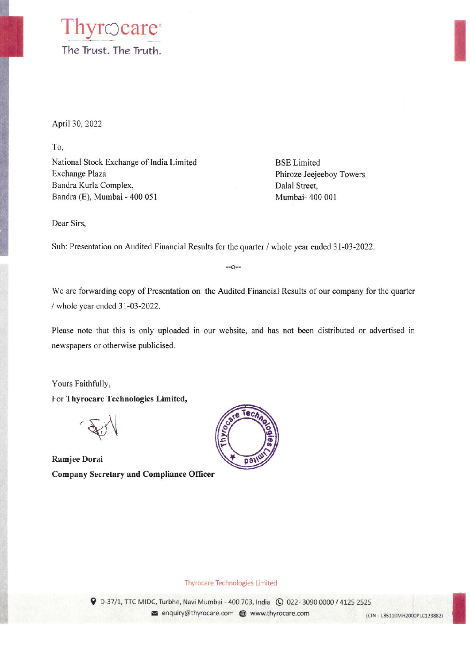### Thyrocare<sup>®</sup> The Trust. The Truth.

April 30, 2022

To,

National Stock Exchange of India Limited Exchange Plaza Bandra Kurla Complex, Bandra (E), Mumbai - 400 051

**BSE** Limited Phiroze Jeejeeboy Towers Dalal Street, Mumbai- 400 001

Dear Sirs,

Sub: Presentation on Audited Financial Results for the quarter / whole year ended 31-03-2022.

 $-0-$ 

We are forwarding copy of Presentation on the Audited Financial Results of our company for the quarter / whole year ended 31-03-2022.

Please note that this is only uploaded in our website, and has not been distributed or advertised in newspapers or otherwise publicised.

Yours Faithfully,

For Thyrocare Technologies Limited,

Ramjee Dorai **Company Secretary and Compliance Officer** 



#### **Thyrocare Technologies Limited**

9 D-37/1, TTC MIDC, Turbhe, Navi Mumbai - 400 703, India ( 0 022-3090 0000 / 4125 2525

senquiry@thyrocare.com @ www.thyrocare.com

(CIN: L85110MH2000PLC123882)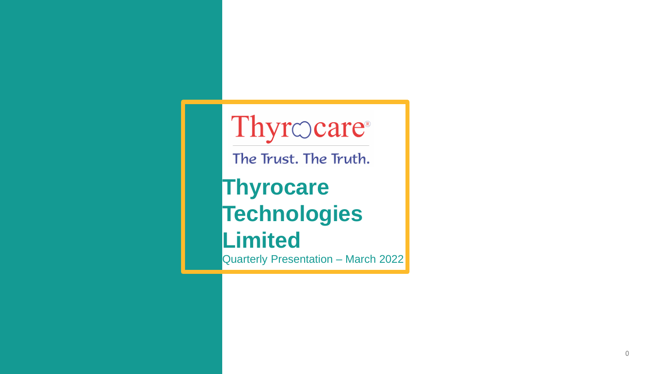# Thyrocare®

The Trust. The Truth.

# **Thyrocare Technologies**

# **Limited**

Quarterly Presentation - March 2022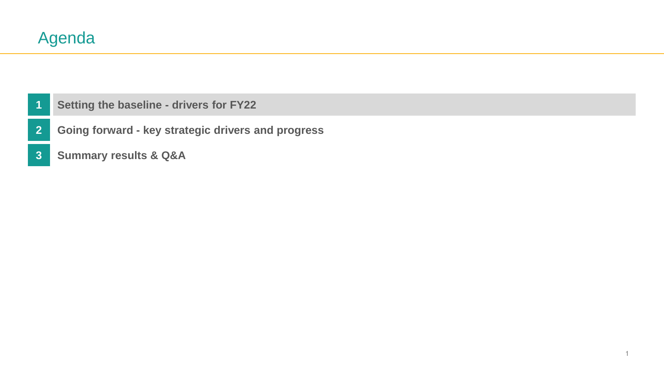- <span id="page-2-0"></span>**[Setting the baseline -](#page-2-0) drivers for FY22**
- **Going forward - [key strategic drivers and progress](#page-10-0)**
- **[Summary results & Q&A](#page-16-0)**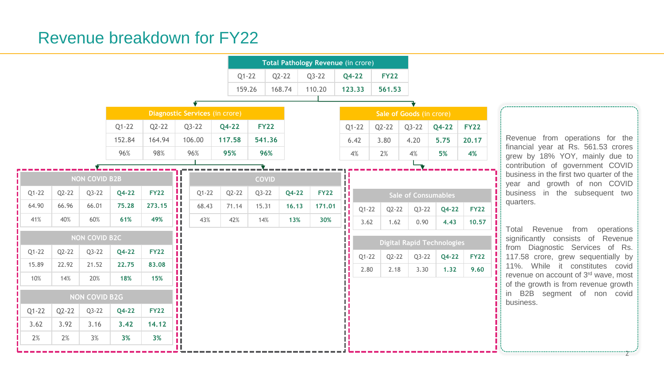# Revenue breakdown for FY22

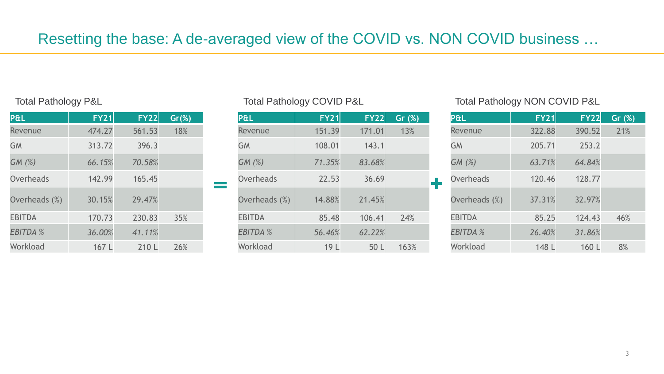| P&L             | <b>FY21</b> | <b>FY22</b> | $Gr(\%)$ |
|-----------------|-------------|-------------|----------|
| Revenue         | 474.27      | 561.53      | 18%      |
| <b>GM</b>       | 313.72      | 396.3       |          |
| GM(%)           | 66.15%      | 70.58%      |          |
| Overheads       | 142.99      | 165.45      |          |
| Overheads (%)   | 30.15%      | 29.47%      |          |
| <b>EBITDA</b>   | 170.73      | 230.83      | 35%      |
| <b>EBITDA %</b> | 36.00%      | 41.11%      |          |
| Workload        | 167 L       | 210 L       | 26%      |

| P&L             | <b>FY21</b>     | <b>FY22</b> | Gr $(%)$ |
|-----------------|-----------------|-------------|----------|
| Revenue         | 151.39          | 171.01      | 13%      |
| <b>GM</b>       | 108.01          | 143.1       |          |
| GM(%)           | 71.35%          | 83.68%      |          |
| Overheads       | 22.53           | 36.69       |          |
| Overheads (%)   | 14.88%          | 21.45%      |          |
| <b>EBITDA</b>   | 85.48           | 106.41      | 24%      |
| <b>EBITDA %</b> | 56.46%          | 62.22%      |          |
| Workload        | 19 <sup>L</sup> | 50 L        | 163%     |

#### Total Pathology P&L **Total Pathology COVID P&L** Total Pathology COVID P&L Total Pathology NON COVID P&L

| P&L             | <b>FY21</b> | <b>FY22</b> | Gr $(%)$ |
|-----------------|-------------|-------------|----------|
| Revenue         | 322.88      | 390.52      | 21%      |
| <b>GM</b>       | 205.71      | 253.2       |          |
| GM(%)           | 63.71%      | 64.84%      |          |
| Overheads       | 120.46      | 128.77      |          |
| Overheads (%)   | 37.31%      | 32.97%      |          |
| <b>EBITDA</b>   | 85.25       | 124.43      | 46%      |
| <b>EBITDA %</b> | 26.40%      | 31.86%      |          |
| Workload        | 148 L       | 160 L       | 8%       |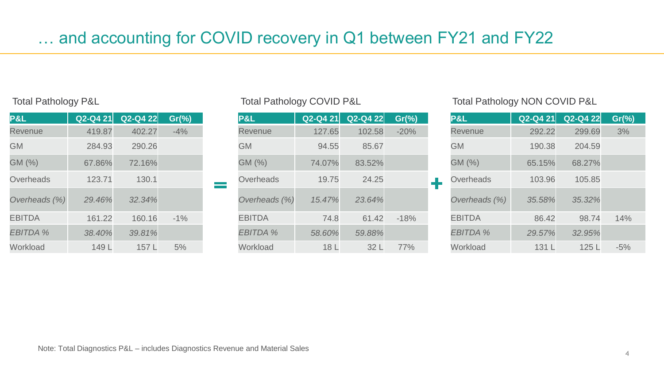| P&L             |        | $Q2-Q4 21$ $Q2-Q4 22$ | $Gr(\% )$ |
|-----------------|--------|-----------------------|-----------|
| <b>Revenue</b>  | 419.87 | 402.27                | $-4%$     |
| <b>GM</b>       | 284.93 | 290.26                |           |
| GM (%)          | 67.86% | 72.16%                |           |
| Overheads       | 123.71 | 130.1                 |           |
| Overheads (%)   | 29.46% | 32.34%                |           |
| <b>EBITDA</b>   | 161.22 | 160.16                | $-1%$     |
| <b>EBITDA</b> % | 38.40% | 39.81%                |           |
| Workload        | 149 L  | 157L                  | 5%        |

| P&L             | $Q2-Q421$ | Q2-Q4 22 | $Gr(\% )$ |
|-----------------|-----------|----------|-----------|
| <b>Revenue</b>  | 127.65    | 102.58   | $-20%$    |
| <b>GM</b>       | 94.55     | 85.67    |           |
| GM (%)          | 74.07%    | 83.52%   |           |
| Overheads       | 19.75     | 24.25    |           |
| Overheads (%)   | 15.47%    | 23.64%   |           |
| <b>EBITDA</b>   | 74.8      | 61.42    | $-18%$    |
| <b>EBITDA %</b> | 58.60%    | 59.88%   |           |
| Workload        | 18 L      | 32 L     | 77%       |

#### Total Pathology P&L Total Pathology COVID P&L Total Pathology COVID P&L Total Pathology NON COVID P&L

| P&L             | $Q2-Q4 21$ | Q2-Q4 22 | $Gr(\% )$ |
|-----------------|------------|----------|-----------|
| <b>Revenue</b>  | 292.22     | 299.69   | 3%        |
| <b>GM</b>       | 190.38     | 204.59   |           |
| GM (%)          | 65.15%     | 68.27%   |           |
| Overheads       | 103.96     | 105.85   |           |
| Overheads (%)   | 35.58%     | 35.32%   |           |
| <b>EBITDA</b>   | 86.42      | 98.74    | 14%       |
| <b>EBITDA %</b> | 29.57%     | 32.95%   |           |
| Workload        | 131 L      | 125L     | $-5%$     |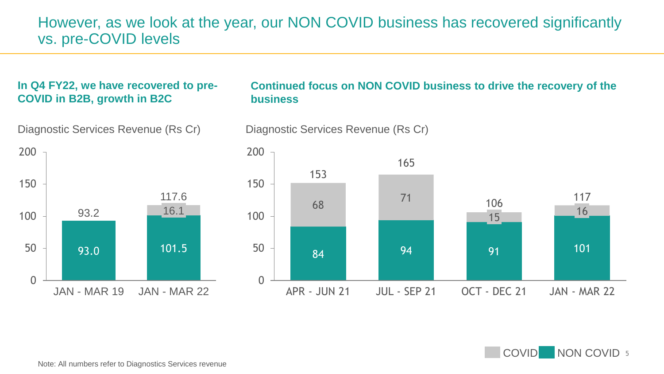### However, as we look at the year, our NON COVID business has recovered significantly vs. pre-COVID levels

#### **In Q4 FY22, we have recovered to pre-COVID in B2B, growth in B2C**



#### **Continued focus on NON COVID business to drive the recovery of the business**



COVID NON COVID 5

Diagnostic Services Revenue (Rs Cr) Diagnostic Services Revenue (Rs Cr)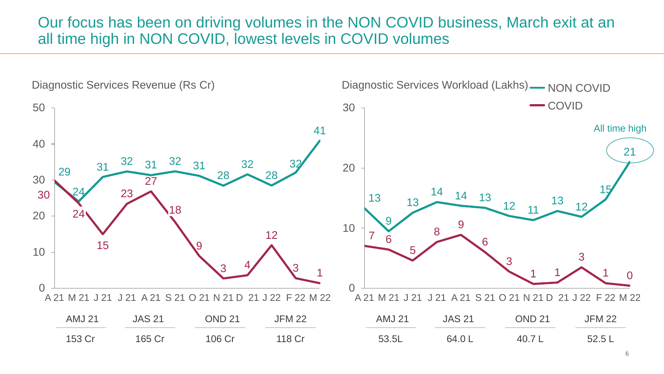### Our focus has been on driving volumes in the NON COVID business, March exit at an all time high in NON COVID, lowest levels in COVID volumes

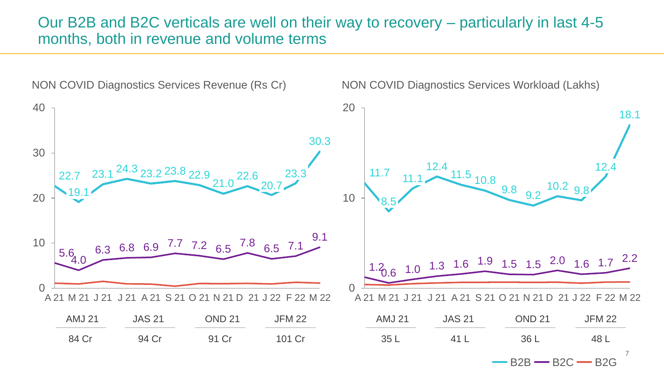#### Our B2B and B2C verticals are well on their way to recovery – particularly in last 4-5 months, both in revenue and volume terms

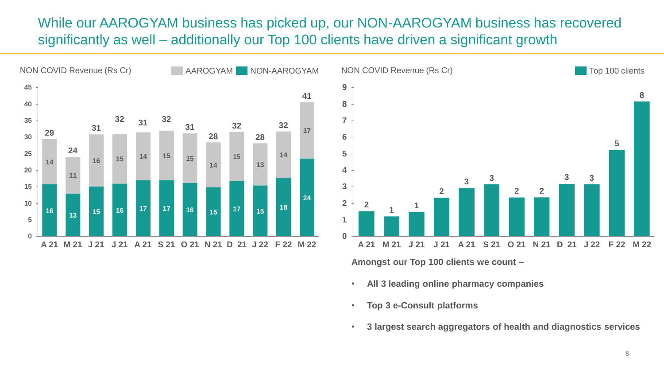### While our AAROGYAM business has picked up, our NON-AAROGYAM business has recovered significantly as well – additionally our Top 100 clients have driven a significant growth



**Amongst our Top 100 clients we count –**

- **All 3 leading online pharmacy companies**
- **Top 3 e-Consult platforms**
- **3 largest search aggregators of health and diagnostics services**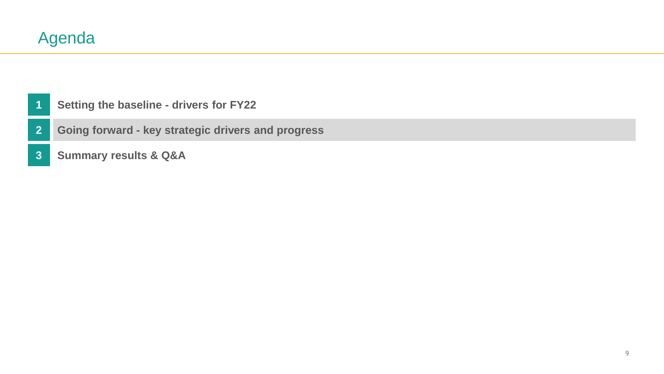#### <span id="page-10-0"></span>**[Setting the baseline -](#page-2-0) drivers for FY22**

**Going forward - [key strategic drivers and progress](#page-10-0)**

**[Summary results & Q&A](#page-16-0)**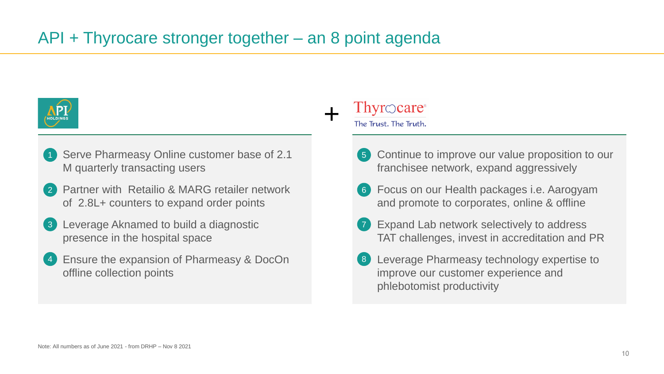

- Serve Pharmeasy Online customer base of 2.1 M quarterly transacting users 1
- Partner with Retailio & MARG retailer network of 2.8L+ counters to expand order points 2
- Leverage Aknamed to build a diagnostic presence in the hospital space 3
- Ensure the expansion of Pharmeasy & DocOn offline collection points 4

## $Thy \in \text{care}$

+

The Trust. The Truth.

- Continue to improve our value proposition to our franchisee network, expand aggressively 5
- Focus on our Health packages i.e. Aarogyam 6 and promote to corporates, online & offline
- Expand Lab network selectively to address TAT challenges, invest in accreditation and PR 7
- 8 Leverage Pharmeasy technology expertise to improve our customer experience and phlebotomist productivity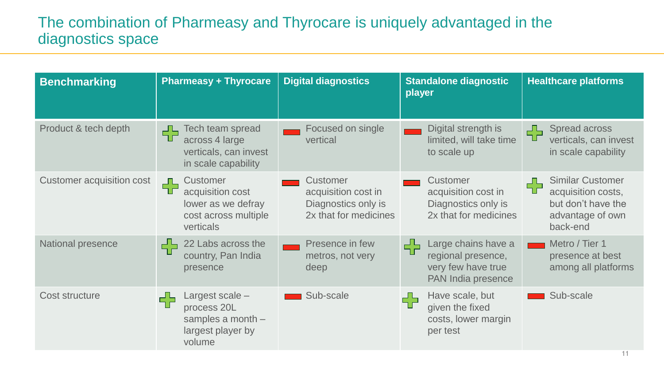## The combination of Pharmeasy and Thyrocare is uniquely advantaged in the diagnostics space

| <b>Benchmarking</b>       | <b>Pharmeasy + Thyrocare</b>                                                                           | <b>Digital diagnostics</b>                                                      | <b>Standalone diagnostic</b><br>player                                                     | <b>Healthcare platforms</b>                                                                              |
|---------------------------|--------------------------------------------------------------------------------------------------------|---------------------------------------------------------------------------------|--------------------------------------------------------------------------------------------|----------------------------------------------------------------------------------------------------------|
| Product & tech depth      | <b>Tech team spread</b><br>┌┚└┐<br>┰<br>across 4 large<br>verticals, can invest<br>in scale capability | Focused on single<br>vertical                                                   | Digital strength is<br>limited, will take time<br>to scale up                              | Spread across<br>┌┚└┐<br>verticals, can invest<br>in scale capability                                    |
| Customer acquisition cost | <b>Customer</b><br>ᅩ<br>acquisition cost<br>lower as we defray<br>cost across multiple<br>verticals    | Customer<br>acquisition cost in<br>Diagnostics only is<br>2x that for medicines | <b>Customer</b><br>acquisition cost in<br>Diagnostics only is<br>2x that for medicines     | <b>Similar Customer</b><br>╬<br>acquisition costs,<br>but don't have the<br>advantage of own<br>back-end |
| <b>National presence</b>  | 22 Labs across the<br>56<br>country, Pan India<br>presence                                             | Presence in few<br>metros, not very<br>deep                                     | Large chains have a<br>╬<br>regional presence,<br>very few have true<br>PAN India presence | Metro / Tier 1<br>presence at best<br>among all platforms                                                |
| <b>Cost structure</b>     | Largest scale -<br>process 20L<br>samples a month -<br>largest player by<br>volume                     | Sub-scale                                                                       | Have scale, but<br>라<br>given the fixed<br>costs, lower margin<br>per test                 | Sub-scale                                                                                                |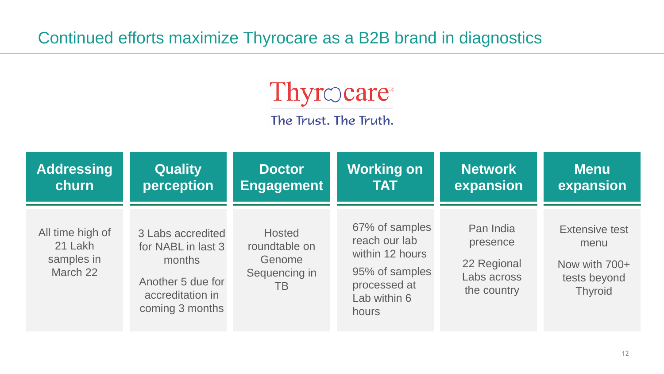Continued efforts maximize Thyrocare as a B2B brand in diagnostics



The Trust. The Truth.

| <b>Addressing</b>                                     | <b>Quality</b>                                                                                                | <b>Doctor</b>                                                          | <b>Working on</b>                                                                                             | <b>Network</b>                                                     | <b>Menu</b>                                                                      |
|-------------------------------------------------------|---------------------------------------------------------------------------------------------------------------|------------------------------------------------------------------------|---------------------------------------------------------------------------------------------------------------|--------------------------------------------------------------------|----------------------------------------------------------------------------------|
| churn                                                 | perception                                                                                                    | <b>Engagement</b>                                                      | <b>TAT</b>                                                                                                    | expansion                                                          | expansion                                                                        |
| All time high of<br>21 Lakh<br>samples in<br>March 22 | 3 Labs accredited<br>for NABL in last 3<br>months<br>Another 5 due for<br>accreditation in<br>coming 3 months | <b>Hosted</b><br>roundtable on<br>Genome<br>Sequencing in<br><b>TB</b> | 67% of samples<br>reach our lab<br>within 12 hours<br>95% of samples<br>processed at<br>Lab within 6<br>hours | Pan India<br>presence<br>22 Regional<br>Labs across<br>the country | <b>Extensive test</b><br>menu<br>Now with 700+<br>tests beyond<br><b>Thyroid</b> |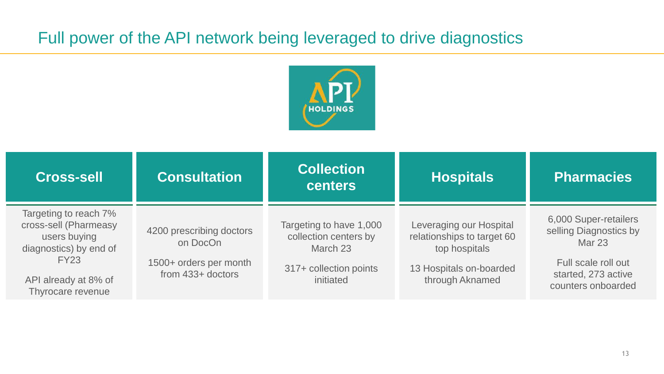# Full power of the API network being leveraged to drive diagnostics



| <b>Cross-sell</b>                                                                        | <b>Consultation</b>                                                                | <b>Collection</b><br><b>centers</b>                          | <b>Hospitals</b>                                                       | <b>Pharmacies</b>                                                |
|------------------------------------------------------------------------------------------|------------------------------------------------------------------------------------|--------------------------------------------------------------|------------------------------------------------------------------------|------------------------------------------------------------------|
| Targeting to reach 7%<br>cross-sell (Pharmeasy<br>users buying<br>diagnostics) by end of | 4200 prescribing doctors<br>on DocOn                                               | Targeting to have 1,000<br>collection centers by<br>March 23 | Leveraging our Hospital<br>relationships to target 60<br>top hospitals | 6,000 Super-retailers<br>selling Diagnostics by<br><b>Mar 23</b> |
| <b>FY23</b><br>API already at 8% of<br>Thyrocare revenue                                 | 1500+ orders per month<br>317+ collection points<br>from 433+ doctors<br>initiated |                                                              | 13 Hospitals on-boarded<br>through Aknamed                             | Full scale roll out<br>started, 273 active<br>counters onboarded |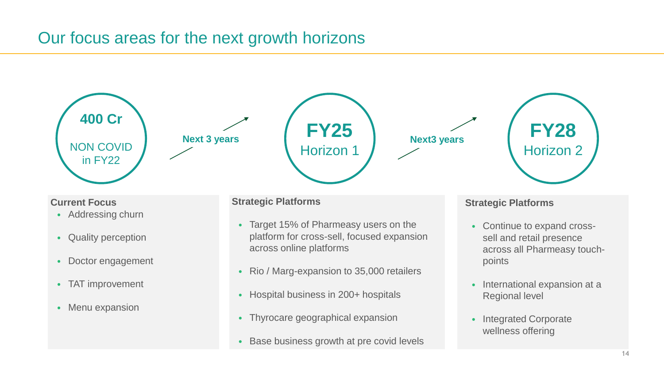# Our focus areas for the next growth horizons







**Current Focus**

- Addressing churn
- Quality perception
- Doctor engagement
- TAT improvement
- Menu expansion

#### **Strategic Platforms**

- Target 15% of Pharmeasy users on the platform for cross-sell, focused expansion across online platforms
- Rio / Marg-expansion to 35,000 retailers
- Hospital business in 200+ hospitals
- Thyrocare geographical expansion
- Base business growth at pre covid levels

#### **Strategic Platforms**

• Continue to expand crosssell and retail presence across all Pharmeasy touchpoints

**FY28**

Horizon 2

- International expansion at a Regional level
- Integrated Corporate wellness offering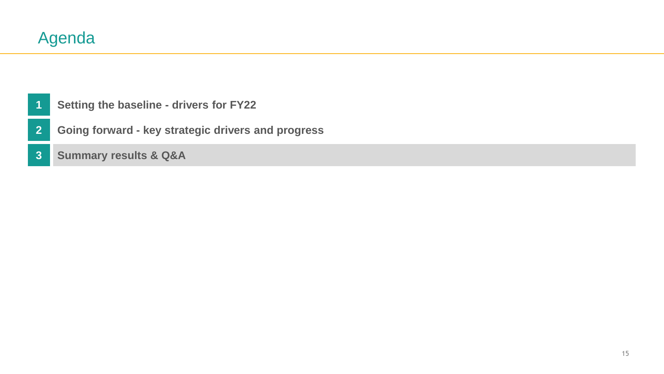- <span id="page-16-0"></span>**[Setting the baseline -](#page-2-0) drivers for FY22**
- **Going forward - [key strategic drivers and progress](#page-10-0)**
- **[Summary results & Q&A](#page-16-0)**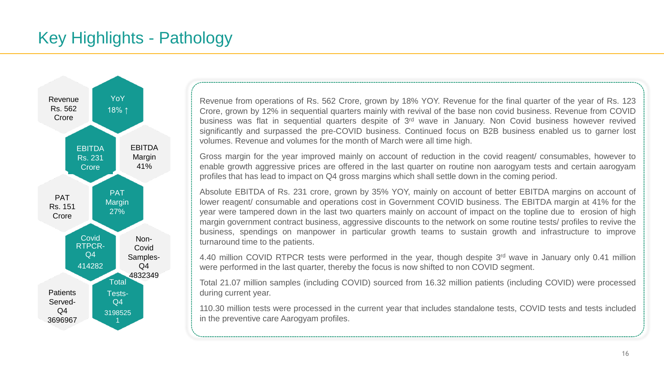

Revenue from operations of Rs. 562 Crore, grown by 18% YOY. Revenue for the final quarter of the year of Rs. 123 Crore, grown by 12% in sequential quarters mainly with revival of the base non covid business. Revenue from COVID business was flat in sequential quarters despite of 3<sup>rd</sup> wave in January. Non Covid business however revived significantly and surpassed the pre-COVID business. Continued focus on B2B business enabled us to garner lost volumes. Revenue and volumes for the month of March were all time high.

Gross margin for the year improved mainly on account of reduction in the covid reagent/ consumables, however to enable growth aggressive prices are offered in the last quarter on routine non aarogyam tests and certain aarogyam profiles that has lead to impact on Q4 gross margins which shall settle down in the coming period.

Absolute EBITDA of Rs. 231 crore, grown by 35% YOY, mainly on account of better EBITDA margins on account of lower reagent/ consumable and operations cost in Government COVID business. The EBITDA margin at 41% for the year were tampered down in the last two quarters mainly on account of impact on the topline due to erosion of high margin government contract business, aggressive discounts to the network on some routine tests/ profiles to revive the business, spendings on manpower in particular growth teams to sustain growth and infrastructure to improve turnaround time to the patients.

4.40 million COVID RTPCR tests were performed in the year, though despite 3<sup>rd</sup> wave in January only 0.41 million were performed in the last quarter, thereby the focus is now shifted to non COVID segment.

Total 21.07 million samples (including COVID) sourced from 16.32 million patients (including COVID) were processed during current year.

110.30 million tests were processed in the current year that includes standalone tests, COVID tests and tests included in the preventive care Aarogyam profiles.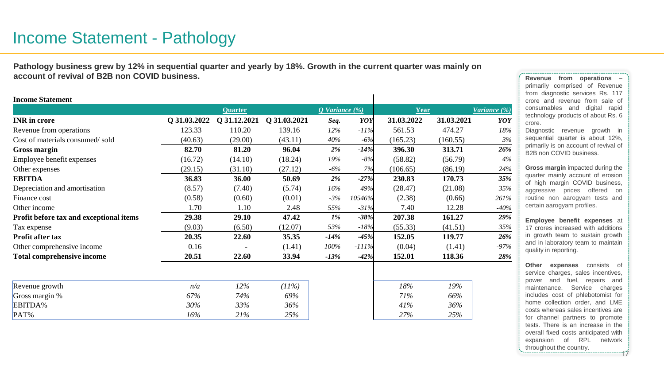**Pathology business grew by 12% in sequential quarter and yearly by 18%. Growth in the current quarter was mainly on account of revival of B2B non COVID business.**

| <b>Income Statement</b>                 |              |                |              |                |         |            |            |              |
|-----------------------------------------|--------------|----------------|--------------|----------------|---------|------------|------------|--------------|
|                                         |              | <b>Quarter</b> |              | Q Variance (%) |         | Year       |            | Variance (%) |
| <b>INR</b> in crore                     | Q 31.03.2022 | Q 31.12.2021   | Q 31.03.2021 | Seq.           | YOY     | 31.03.2022 | 31.03.2021 | YOY          |
| Revenue from operations                 | 123.33       | 110.20         | 139.16       | 12%            | $-11%$  | 561.53     | 474.27     | 18%          |
| Cost of materials consumed/sold         | (40.63)      | (29.00)        | (43.11)      | 40%            | $-6%$   | (165.23)   | (160.55)   | 3%           |
| <b>Gross margin</b>                     | 82.70        | 81.20          | 96.04        | $2\%$          | $-14%$  | 396.30     | 313.71     | 26%          |
| Employee benefit expenses               | (16.72)      | (14.10)        | (18.24)      | 19%            | $-8\%$  | (58.82)    | (56.79)    | 4%           |
| Other expenses                          | (29.15)      | (31.10)        | (27.12)      | -6%            | 7%      | (106.65)   | (86.19)    | 24%          |
| <b>EBITDA</b>                           | 36.83        | 36.00          | 50.69        | $2\%$          | $-27%$  | 230.83     | 170.73     | 35%          |
| Depreciation and amortisation           | (8.57)       | (7.40)         | (5.74)       | 16%            | 49%     | (28.47)    | (21.08)    | 35%          |
| Finance cost                            | (0.58)       | (0.60)         | (0.01)       | $-3%$          | 10546%  | (2.38)     | (0.66)     | 261%         |
| Other income                            | 1.70         | 1.10           | 2.48         | 55%            | $-31%$  | 7.40       | 12.28      | $-40%$       |
| Profit before tax and exceptional items | 29.38        | 29.10          | 47.42        | $1\%$          | $-38%$  | 207.38     | 161.27     | 29%          |
| Tax expense                             | (9.03)       | (6.50)         | (12.07)      | 53%            | $-18%$  | (55.33)    | (41.51)    | 35%          |
| <b>Profit after tax</b>                 | 20.35        | 22.60          | 35.35        | $-14%$         | $-45%$  | 152.05     | 119.77     | 26%          |
| Other comprehensive income              | 0.16         |                | (1.41)       | 100%           | $-111%$ | (0.04)     | (1.41)     | $-97%$       |
| <b>Total comprehensive income</b>       | 20.51        | 22.60          | 33.94        | $-13%$         | $-42%$  | 152.01     | 118.36     | 28%          |
|                                         |              |                |              |                |         |            |            |              |
| Revenue growth                          | n/a          | $12\%$         | (11%)        |                |         | 18%        | 19%        |              |
| Gross margin %                          | 67%          | 74%            | 69%          |                |         | 71%        | 66%        |              |
| EBITDA%                                 | 30%          | 33%            | 36%          |                |         | 41%        | 36%        |              |
| PAT%                                    | 16%          | 21%            | 25%          |                |         | 27%        | 25%        |              |

**Revenue from operations** – primarily comprised of Revenue from diagnostic services Rs. 117 crore and revenue from sale of consumables and digital rapid technology products of about Rs. 6 crore.

Diagnostic revenue growth in sequential quarter is about 12%, primarily is on account of revival of B2B non COVID business.

**Gross margin** impacted during the quarter mainly account of erosion of high margin COVID business, aggressive prices offered on routine non aarogyam tests and certain aarogyam profiles.

**Employee benefit expenses** at 17 crores increased with additions in growth team to sustain growth and in laboratory team to maintain quality in reporting.

17 **Other expenses** consists of service charges, sales incentives, power and fuel, repairs and maintenance. Service charges includes cost of phlebotomist for home collection order, and LME costs whereas sales incentives are for channel partners to promote tests. There is an increase in the overall fixed costs anticipated with expansion of RPL network throughout the country.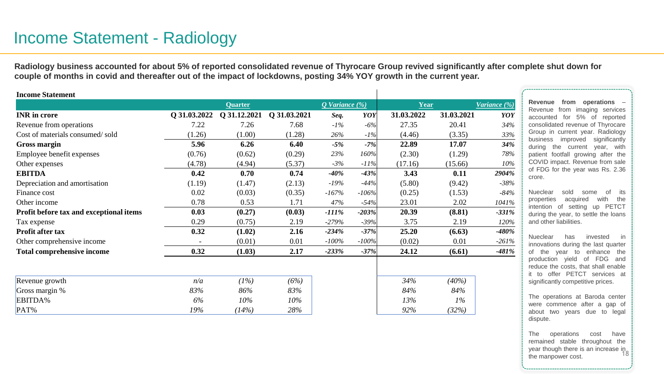# Income Statement - Radiology

**Radiology business accounted for about 5% of reported consolidated revenue of Thyrocare Group revived significantly after complete shut down for couple of months in covid and thereafter out of the impact of lockdowns, posting 34% YOY growth in the current year.**

| <b>Income Statement</b>                 |              |                |              |                |         |            |            |                        |
|-----------------------------------------|--------------|----------------|--------------|----------------|---------|------------|------------|------------------------|
|                                         |              | <b>Quarter</b> |              | Q Variance (%) |         | Year       |            | <i>Variance</i> $(\%)$ |
| <b>INR</b> in crore                     | Q 31.03.2022 | Q 31.12.2021   | Q 31.03.2021 | Seq.           | YOY     | 31.03.2022 | 31.03.2021 | YOY                    |
| Revenue from operations                 | 7.22         | 7.26           | 7.68         | $-1\%$         | $-6%$   | 27.35      | 20.41      | 34%                    |
| Cost of materials consumed/sold         | (1.26)       | (1.00)         | (1.28)       | 26%            | $-1\%$  | (4.46)     | (3.35)     | 33%                    |
| <b>Gross margin</b>                     | 5.96         | 6.26           | 6.40         | $-5%$          | $-7%$   | 22.89      | 17.07      | 34%                    |
| Employee benefit expenses               | (0.76)       | (0.62)         | (0.29)       | 23%            | 160%    | (2.30)     | (1.29)     | 78%                    |
| Other expenses                          | (4.78)       | (4.94)         | (5.37)       | $-3%$          | $-11%$  | (17.16)    | (15.66)    | 10%                    |
| <b>EBITDA</b>                           | 0.42         | 0.70           | 0.74         | $-40\%$        | $-43%$  | 3.43       | 0.11       | 2904%                  |
| Depreciation and amortisation           | (1.19)       | (1.47)         | (2.13)       | $-19%$         | $-44%$  | (5.80)     | (9.42)     | $-38%$                 |
| Finance cost                            | 0.02         | (0.03)         | (0.35)       | $-167%$        | $-106%$ | (0.25)     | (1.53)     | -84%                   |
| Other income                            | 0.78         | 0.53           | 1.71         | 47%            | $-54%$  | 23.01      | 2.02       | 1041%                  |
| Profit before tax and exceptional items | 0.03         | (0.27)         | (0.03)       | $-111\%$       | $-203%$ | 20.39      | (8.81)     | $-331%$                |
| Tax expense                             | 0.29         | (0.75)         | 2.19         | $-279%$        | $-39%$  | 3.75       | 2.19       | 120%                   |
| <b>Profit after tax</b>                 | 0.32         | (1.02)         | 2.16         | $-234%$        | $-37%$  | 25.20      | (6.63)     | $-480\%$               |
| Other comprehensive income              |              | (0.01)         | 0.01         | $-100\%$       | $-100%$ | (0.02)     | 0.01       | $-261%$                |
| <b>Total comprehensive income</b>       | 0.32         | (1.03)         | 2.17         | $-233%$        | $-37%$  | 24.12      | (6.61)     | $-481%$                |
|                                         |              |                |              |                |         |            |            |                        |
| Revenue growth                          | n/a          | (1%)           | (6%)         |                |         | 34%        | (40%)      |                        |
| Gross margin %                          | 83%          | 86%            | 83%          |                |         | 84%        | 84%        |                        |
| EBITDA%                                 | 6%           | 10%            | 10%          |                |         | 13%        | $1\%$      |                        |
| PAT%                                    | 19%          | (14%)          | 28%          |                |         | 92%        | (32%)      |                        |

**Revenue from operations** – Revenue from imaging services accounted for 5% of reported consolidated revenue of Thyrocare Group in current year. Radiology business improved significantly during the current year, with patient footfall growing after the COVID impact. Revenue from sale of FDG for the year was Rs. 2.36 crore.

Nueclear sold some of its properties acquired with the intention of setting up PETCT during the year, to settle the loans and other liabilities.

Nueclear has invested in innovations during the last quarter of the year to enhance the production yield of FDG and reduce the costs, that shall enable it to offer PETCT services at significantly competitive prices.

The operations at Baroda center were commence after a gap of about two years due to legal dispute.

year though there is an increase in<br>the mannower cost The operations cost have remained stable throughout the the manpower cost.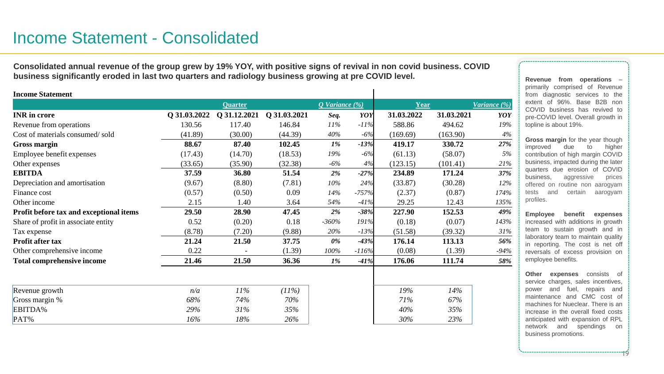**Consolidated annual revenue of the group grew by 19% YOY, with positive signs of revival in non covid business. COVID business significantly eroded in last two quarters and radiology business growing at pre COVID level.** 

| <b>Income Statement</b>                 |              |                |              |                |         |            |            |              |
|-----------------------------------------|--------------|----------------|--------------|----------------|---------|------------|------------|--------------|
|                                         |              | <b>Quarter</b> |              | Q Variance (%) |         | Year       |            | Variance (%) |
| <b>INR</b> in crore                     | Q 31.03.2022 | Q 31.12.2021   | Q 31.03.2021 | Seq.           | YOY     | 31.03.2022 | 31.03.2021 | YOY          |
| Revenue from operations                 | 130.56       | 117.40         | 146.84       | $11\%$         | $-11\%$ | 588.86     | 494.62     | 19%          |
| Cost of materials consumed/sold         | (41.89)      | (30.00)        | (44.39)      | 40%            | $-6%$   | (169.69)   | (163.90)   | 4%           |
| <b>Gross margin</b>                     | 88.67        | 87.40          | 102.45       | 1%             | $-13%$  | 419.17     | 330.72     | 27%          |
| Employee benefit expenses               | (17.43)      | (14.70)        | (18.53)      | 19%            | $-6%$   | (61.13)    | (58.07)    | 5%           |
| Other expenses                          | (33.65)      | (35.90)        | (32.38)      | $-6%$          | 4%      | (123.15)   | (101.41)   | 21%          |
| <b>EBITDA</b>                           | 37.59        | 36.80          | 51.54        | 2%             | $-27%$  | 234.89     | 171.24     | 37%          |
| Depreciation and amortisation           | (9.67)       | (8.80)         | (7.81)       | 10%            | 24%     | (33.87)    | (30.28)    | 12%          |
| Finance cost                            | (0.57)       | (0.50)         | 0.09         | 14%            | $-757%$ | (2.37)     | (0.87)     | 174%         |
| Other income                            | 2.15         | 1.40           | 3.64         | 54%            | $-41%$  | 29.25      | 12.43      | 135%         |
| Profit before tax and exceptional items | 29.50        | 28.90          | 47.45        | 2%             | $-38%$  | 227.90     | 152.53     | 49%          |
| Share of profit in associate entity     | 0.52         | (0.20)         | 0.18         | $-360%$        | 191%    | (0.18)     | (0.07)     | 143%         |
| Tax expense                             | (8.78)       | (7.20)         | (9.88)       | 20%            | $-13%$  | (51.58)    | (39.32)    | 31%          |
| Profit after tax                        | 21.24        | 21.50          | 37.75        | 0%             | $-43%$  | 176.14     | 113.13     | 56%          |
| Other comprehensive income              | 0.22         |                | (1.39)       | 100%           | $-116%$ | (0.08)     | (1.39)     | $-94%$       |
| <b>Total comprehensive income</b>       | 21.46        | 21.50          | 36.36        | 1%             | $-41%$  | 176.06     | 111.74     | 58%          |
| Revenue growth                          | n/a          | $11\%$         | (11%)        |                |         | 19%        | 14%        |              |
| Gross margin %                          | 68%          | 74%            | 70%          |                |         | 71%        | 67%        |              |
| EBITDA%                                 | 29%          | 31%            | 35%          |                |         | 40%        | 35%        |              |
| PAT%                                    | 16%          | 18%            | 26%          |                |         | 30%        | 23%        |              |

**Revenue from operations** – primarily comprised of Revenue from diagnostic services to the extent of 96%. Base B2B non COVID business has revived to pre-COVID level. Overall growth in topline is about 19%.

**Gross margin** for the year though improved due to higher contribution of high margin COVID business, impacted during the later quarters due erosion of COVID business, aggressive prices offered on routine non aarogyam tests and certain aarogyam profiles.

**Employee benefit expenses** increased with additions in growth team to sustain growth and in laboratory team to maintain quality in reporting. The cost is net off reversals of excess provision on employee benefits.

**Other expenses** consists of service charges, sales incentives, power and fuel, repairs and maintenance and CMC cost of machines for Nueclear. There is an increase in the overall fixed costs anticipated with expansion of RPL network and spendings on business promotions.

19